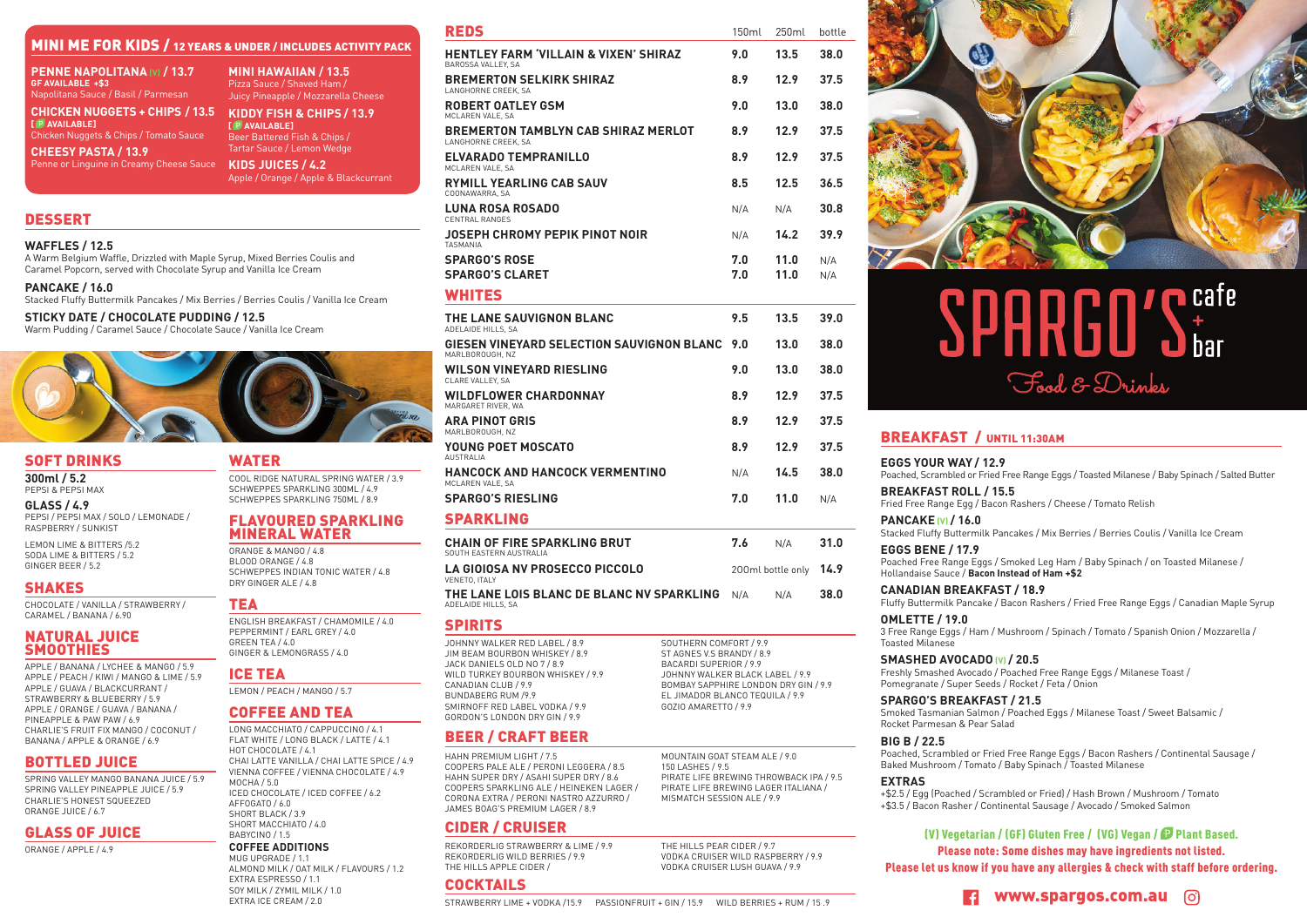(V) Vegetarian / (GF) Gluten Free / (VG) Vegan / Plant Based. Please note: Some dishes may have ingredients not listed. Please let us know if you have any allergies & check with staff before ordering.

# MINI ME FOR KIDS / 12 YEARS & UNDER / INCLUDES ACTIVITY PACK

## **CHEESY PASTA / 13.9**



# **n** cafe Food & Drinks

**EGGS YOUR WAY / 12.9** Poached, Scrambled or Fried Free Range Eggs / Toasted Milanese / Baby Spinach / Salted Butter

**BREAKFAST ROLL / 15.5** Fried Free Range Egg / Bacon Rashers / Cheese / Tomato Relish

**PANCAKE (V) / 16.0**

Stacked Fluffy Buttermilk Pancakes / Mix Berries / Berries Coulis / Vanilla Ice Cream

Poached Free Range Eggs / Smoked Leg Ham / Baby Spinach / on Toasted Milanese /

**EGGS BENE / 17.9** Hollandaise Sauce / **Bacon Instead of Ham +\$2** 

**CANADIAN BREAKFAST / 18.9**

Fluffy Buttermilk Pancake / Bacon Rashers / Fried Free Range Eggs / Canadian Maple Syrup

3 Free Range Eggs / Ham / Mushroom / Spinach / Tomato / Spanish Onion / Mozzarella /

**OMLETTE / 19.0** Toasted Milanese

**SMASHED AVOCADO (V) / 20.5** Freshly Smashed Avocado / Poached Free Range Eggs / Milanese Toast / Pomegranate / Super Seeds / Rocket / Feta / Onion

**SPARGO'S BREAKFAST / 21.5** Smoked Tasmanian Salmon / Poached Eggs / Milanese Toast / Sweet Balsamic / Rocket Parmesan & Pear Salad

| <b>PENNE NAPOLITANA (V) / 13.7</b>                                                                                                                                        | <b>MINI HAWAIIAN / 13.5</b>                                                                       |                                                                                                                                                                  |                                                                                                                                                              |            |                   |            |
|---------------------------------------------------------------------------------------------------------------------------------------------------------------------------|---------------------------------------------------------------------------------------------------|------------------------------------------------------------------------------------------------------------------------------------------------------------------|--------------------------------------------------------------------------------------------------------------------------------------------------------------|------------|-------------------|------------|
| <b>GF AVAILABLE +\$3</b><br>Napolitana Sauce / Basil / Parmesan                                                                                                           | Pizza Sauce / Shaved Ham /<br>Juicy Pineapple / Mozzarella Cheese                                 | <b>BREMERTON SELKIRK SHIRAZ</b><br>LANGHORNE CREEK, SA                                                                                                           |                                                                                                                                                              | 8.9        | 12.9              | 37.5       |
| <b>CHICKEN NUGGETS + CHIPS / 13.5</b>                                                                                                                                     | KIDDY FISH & CHIPS / 13.9                                                                         | <b>ROBERT OATLEY GSM</b><br>MCLAREN VALE, SA                                                                                                                     |                                                                                                                                                              | 9.0        | 13.0              | 38.0       |
| [ P AVAILABLE]<br>Chicken Nuggets & Chips / Tomato Sauce                                                                                                                  | [ P AVAILABLE]<br>Beer Battered Fish & Chips /                                                    | <b>BREMERTON TAMBLYN CAB SHIRAZ MERLOT</b><br>LANGHORNE CREEK, SA                                                                                                |                                                                                                                                                              | 8.9        | 12.9              | 37.5       |
| <b>CHEESY PASTA / 13.9</b><br>Penne or Linguine in Creamy Cheese Sauce                                                                                                    | Tartar Sauce / Lemon Wedge<br>KIDS JUICES / 4.2                                                   | <b>ELVARADO TEMPRANILLO</b><br>MCLAREN VALE, SA                                                                                                                  |                                                                                                                                                              | 8.9        | 12.9              | 37.5       |
|                                                                                                                                                                           | Apple / Orange / Apple & Blackcurrant                                                             | <b>RYMILL YEARLING CAB SAUV</b><br>COONAWARRA, SA                                                                                                                |                                                                                                                                                              | 8.5        | 12.5              | 36.5       |
|                                                                                                                                                                           |                                                                                                   | <b>LUNA ROSA ROSADO</b><br><b>CENTRAL RANGES</b>                                                                                                                 |                                                                                                                                                              | N/A        | N/A               | 30.8       |
| <b>DESSERT</b>                                                                                                                                                            |                                                                                                   | <b>JOSEPH CHROMY PEPIK PINOT NOIR</b>                                                                                                                            |                                                                                                                                                              | N/A        | 14.2              | 39.9       |
| <b>WAFFLES / 12.5</b><br>A Warm Belgium Waffle, Drizzled with Maple Syrup, Mixed Berries Coulis and<br>Caramel Popcorn, served with Chocolate Syrup and Vanilla Ice Cream |                                                                                                   | <b>TASMANIA</b><br><b>SPARGO'S ROSE</b><br><b>SPARGO'S CLARET</b>                                                                                                |                                                                                                                                                              | 7.0<br>7.0 | 11.0<br>11.0      | N/A<br>N/A |
| <b>PANCAKE / 16.0</b><br>Stacked Fluffy Buttermilk Pancakes / Mix Berries / Berries Coulis / Vanilla Ice Cream                                                            |                                                                                                   | <b>WHITES</b>                                                                                                                                                    |                                                                                                                                                              |            |                   |            |
| <b>STICKY DATE / CHOCOLATE PUDDING / 12.5</b><br>Warm Pudding / Caramel Sauce / Chocolate Sauce / Vanilla Ice Cream                                                       |                                                                                                   | THE LANE SAUVIGNON BLANC<br>ADELAIDE HILLS, SA                                                                                                                   |                                                                                                                                                              | 9.5        | 13.5              | 39.0       |
|                                                                                                                                                                           |                                                                                                   | GIESEN VINEYARD SELECTION SAUVIGNON BLANC<br>MARLBOROUGH, NZ                                                                                                     |                                                                                                                                                              | 9.0        | 13.0              | 38.0       |
|                                                                                                                                                                           |                                                                                                   | <b>WILSON VINEYARD RIESLING</b><br>CLARE VALLEY, SA                                                                                                              |                                                                                                                                                              | 9.0        | 13.0              | 38.0       |
|                                                                                                                                                                           |                                                                                                   | <b>WILDFLOWER CHARDONNAY</b>                                                                                                                                     |                                                                                                                                                              |            |                   | 37.5       |
|                                                                                                                                                                           |                                                                                                   | MARGARET RIVER, WA<br><b>ARA PINOT GRIS</b>                                                                                                                      |                                                                                                                                                              |            |                   | 37.5       |
|                                                                                                                                                                           |                                                                                                   | MARLBOROUGH, NZ<br>YOUNG POET MOSCATO                                                                                                                            |                                                                                                                                                              | 8.9        | 12.9              | 37.5       |
| <b>SOFT DRINKS</b><br>300ml / 5.2                                                                                                                                         | <b>WATER</b><br>COOL RIDGE NATURAL SPRING WATER / 3.9                                             | <b>AUSTRALIA</b><br>HANCOCK AND HANCOCK VERMENTINO                                                                                                               |                                                                                                                                                              | N/A        | 14.5              | 38.0       |
| PEPSI & PEPSI MAX                                                                                                                                                         | SCHWEPPES SPARKLING 300ML / 4.9<br>SCHWEPPES SPARKLING 750ML / 8.9                                | MCLAREN VALE, SA<br><b>SPARGO'S RIESLING</b>                                                                                                                     |                                                                                                                                                              | 7.0        | 11.0              | N/A        |
| <b>GLASS / 4.9</b><br>PEPSI / PEPSI MAX / SOLO / LEMONADE /<br>RASPBERRY / SUNKIST                                                                                        | <b>FLAVOURED SPARKLING</b><br><b>MINERAL WATER</b>                                                | <b>SPARKLING</b>                                                                                                                                                 |                                                                                                                                                              |            |                   |            |
| LEMON LIME & BITTERS /5.2<br>SODA LIME & BITTERS / 5.2                                                                                                                    | ORANGE & MANGO / 4.8                                                                              | <b>CHAIN OF FIRE SPARKLING BRUT</b><br>SOUTH EASTERN AUSTRALIA                                                                                                   |                                                                                                                                                              | 7.6        | N/A               | 31.0       |
| GINGER BEER / 5.2                                                                                                                                                         | BLOOD ORANGE / 4.8<br>SCHWEPPES INDIAN TONIC WATER / 4.8<br>DRY GINGER ALE / 4.8                  | <b>LA GIOIOSA NV PROSECCO PICCOLO</b><br>VENETO. ITALY                                                                                                           |                                                                                                                                                              |            | 200ml bottle only | 14.9       |
| <b>SHAKES</b><br>CHOCOLATE / VANILLA / STRAWBERRY /                                                                                                                       | TEA                                                                                               | THE LANE LOIS BLANC DE BLANC NV SPARKLING<br>ADELAIDE HILLS, SA                                                                                                  |                                                                                                                                                              | N/A        | N/A               | 38.0       |
| CARAMEL / BANANA / 6.90                                                                                                                                                   | ENGLISH BREAKFAST / CHAMOMILE / 4.0                                                               | <b>SPIRITS</b>                                                                                                                                                   |                                                                                                                                                              |            |                   |            |
| <b>NATURAL JUICE</b><br><b>SMOOTHIES</b>                                                                                                                                  | PEPPERMINT / EARL GREY / 4.0<br>GREEN TEA / 4.0<br>GINGER & LEMONGRASS / 4.0                      | JOHNNY WALKER RED LABEL / 8.9<br>JIM BEAM BOURBON WHISKEY / 8.9                                                                                                  | SOUTHERN COMFORT / 9.9<br>ST AGNES V.S BRANDY / 8.9                                                                                                          |            |                   |            |
| APPLE / BANANA / LYCHEE & MANGO / 5.9<br>APPLE / PEACH / KIWI / MANGO & LIME / 5.9                                                                                        | <b>ICE TEA</b>                                                                                    | JACK DANIELS OLD NO 7 / 8.9<br>WILD TURKEY BOURBON WHISKEY / 9.9                                                                                                 | BACARDI SUPERIOR / 9.9<br>JOHNNY WALKER BLACK LABEL / 9.9<br>BOMBAY SAPPHIRE LONDON DRY GIN / 9.9<br>EL JIMADOR BLANCO TEQUILA / 9.9<br>GOZIO AMARETTO / 9.9 |            |                   |            |
| APPLE / GUAVA / BLACKCURRANT /<br>STRAWBERRY & BLUEBERRY / 5.9                                                                                                            | LEMON / PEACH / MANGO / 5.7                                                                       | CANADIAN CLUB / 9.9<br>BUNDABERG RUM /9.9                                                                                                                        |                                                                                                                                                              |            |                   |            |
| APPLE / ORANGE / GUAVA / BANANA /<br>PINEAPPLE & PAW PAW / 6.9                                                                                                            | <b>COFFEE AND TEA</b>                                                                             | SMIRNOFF RED LABEL VODKA / 9.9<br>GORDON'S LONDON DRY GIN / 9.9                                                                                                  |                                                                                                                                                              |            |                   |            |
| CHARLIE'S FRUIT FIX MANGO / COCONUT /<br>BANANA / APPLE & ORANGE / 6.9                                                                                                    | LONG MACCHIATO / CAPPUCCINO / 4.1<br>FLAT WHITE / LONG BLACK / LATTE / 4.1<br>HOT CHOCOLATE / 4.1 | <b>BEER / CRAFT BEER</b>                                                                                                                                         |                                                                                                                                                              |            |                   |            |
| <b>BOTTLED JUICE</b>                                                                                                                                                      | CHAI LATTE VANILLA / CHAI LATTE SPICE / 4.9<br>VIENNA COFFEE / VIENNA CHOCOLATE / 4.9             | HAHN PREMIUM LIGHT / 7.5<br>COOPERS PALE ALE / PERONI LEGGERA / 8.5                                                                                              | MOUNTAIN GOAT STEAM ALE / 9.0<br>150 LASHES / 9.5                                                                                                            |            |                   |            |
| SPRING VALLEY MANGO BANANA JUICE / 5.9<br>SPRING VALLEY PINEAPPLE JUICE / 5.9<br>CHARLIE'S HONEST SQUEEZED<br>ORANGE JUICE / 6.7                                          | MOCHA / 5.0<br>ICED CHOCOLATE / ICED COFFEE / 6.2<br>AFFOGATO / 6.0<br>SHORT BLACK / 3.9          | HAHN SUPER DRY / ASAHI SUPER DRY / 8.6<br>COOPERS SPARKLING ALE / HEINEKEN LAGER /<br>CORONA EXTRA / PERONI NASTRO AZZURRO /<br>JAMES BOAG'S PREMIUM LAGER / 8.9 | PIRATE LIFE BREWING THROWBACK IPA / 9.5<br>PIRATE LIFE BREWING LAGER ITALIANA /<br>MISMATCH SESSION ALE / 9.9                                                |            |                   |            |
| <b>GLASS OF JUICE</b>                                                                                                                                                     | SHORT MACCHIATO / 4.0<br>BABYCINO / 1.5                                                           | <b>CIDER / CRUISER</b>                                                                                                                                           |                                                                                                                                                              |            |                   |            |
| ORANGE / APPLE / 4.9                                                                                                                                                      | <b>COFFEE ADDITIONS</b><br>MUG UPGRADE / 1.1<br>ALMOND MILK / OAT MILK / FLAVOURS / 1.2           | REKORDERLIG STRAWBERRY & LIME / 9.9<br>REKORDERLIG WILD BERRIES / 9.9<br>THE HILLS APPLE CIDER /                                                                 | THE HILLS PEAR CIDER / 9.7<br>VODKA CRUISER WILD RASPBERRY / 9.9<br>VODKA CRUISER LUSH GUAVA / 9.9                                                           |            |                   |            |
|                                                                                                                                                                           | EXTRA ESPRESSO / 1.1<br>SOY MILK / ZYMIL MILK / 1.0                                               | <b>COCKTAILS</b>                                                                                                                                                 |                                                                                                                                                              |            |                   |            |
|                                                                                                                                                                           | EXTRA ICE CREAM / 2.0                                                                             | STRAWBERRY LIME + VODKA /15.9<br>PASSIONFRUIT + GIN / 15.9 WILD BERRIES + RUM / 15.9                                                                             |                                                                                                                                                              |            |                   |            |
|                                                                                                                                                                           |                                                                                                   |                                                                                                                                                                  |                                                                                                                                                              |            |                   |            |

**BIG B / 22.5**

Poached, Scrambled or Fried Free Range Eggs / Bacon Rashers / Continental Sausage / Baked Mushroom / Tomato / Baby Spinach / Toasted Milanese

*B* **www.spargos.com.au**  $\odot$ 

**EXTRAS** +\$2.5 / Egg (Poached / Scrambled or Fried) / Hash Brown / Mushroom / Tomato +\$3.5 / Bacon Rasher / Continental Sausage / Avocado / Smoked Salmon

| <b>REDS</b>                                                            | 150ml      | 250ml        | bottle     |
|------------------------------------------------------------------------|------------|--------------|------------|
| <b>HENTLEY FARM 'VILLAIN &amp; VIXEN' SHIRAZ</b><br>BAROSSA VALLEY, SA | 9.0        | 13.5         | 38.0       |
| <b>BREMERTON SELKIRK SHIRAZ</b><br>LANGHORNE CREEK, SA                 | 8.9        | 12.9         | 37.5       |
| <b>ROBERT OATLEY GSM</b><br>MCLAREN VALE, SA                           | 9.0        | 13.0         | 38.0       |
| <b>BREMERTON TAMBLYN CAB SHIRAZ MERLOT</b><br>LANGHORNE CREEK, SA      | 8.9        | 12.9         | 37.5       |
| <b>ELVARADO TEMPRANILLO</b><br>MCLAREN VALE, SA                        | 8.9        | 12.9         | 37.5       |
| <b>RYMILL YEARLING CAB SAUV</b><br>COONAWARRA, SA                      | 8.5        | 12.5         | 36.5       |
| <b>LUNA ROSA ROSADO</b><br><b>CENTRAL RANGES</b>                       | N/A        | N/A          | 30.8       |
| JOSEPH CHROMY PEPIK PINOT NOIR<br><b>TASMANIA</b>                      | N/A        | 14.2         | 39.9       |
| <b>SPARGO'S ROSE</b><br><b>SPARGO'S CLARET</b>                         | 7.0<br>7.0 | 11.0<br>11.0 | N/A<br>N/A |
| <b>WHITES</b>                                                          |            |              |            |
| THE LANE SAUVIGNON BLANC<br>ADELAIDE HILLS, SA                         | 9.5        | 13.5         | 39.0       |
| GIESEN VINEYARD SELECTION SAUVIGNON BLANC<br>MARLBOROUGH, NZ           | 9.0        | 13.0         | 38.0       |
| <b>WILSON VINEYARD RIESLING</b><br>CLARE VALLEY, SA                    | 9.0        | 13.0         | 38.0       |
| <b>WILDFLOWER CHARDONNAY</b><br>MARGARET RIVER, WA                     | 8.9        | 12.9         | 37.5       |
| <b>ARA PINOT GRIS</b><br>MARLBOROUGH, NZ                               | 8.9        | 12.9         | 37.5       |
| <b>YOUNG POET MOSCATO</b><br><b>AUSTRALIA</b>                          | 8.9        | 12.9         | 37.5       |
| <b>HANCOCK AND HANCOCK VERMENTINO</b><br>MCLAREN VALE, SA              | N/A        | 14.5         | 38.0       |
| <b>SPARGO'S RIESLING</b>                                               | 7.0        | 11.0         | N/A        |
| <b>SPARKLING</b>                                                       |            |              |            |



## BREAKFAST / UNTIL 11:30AM